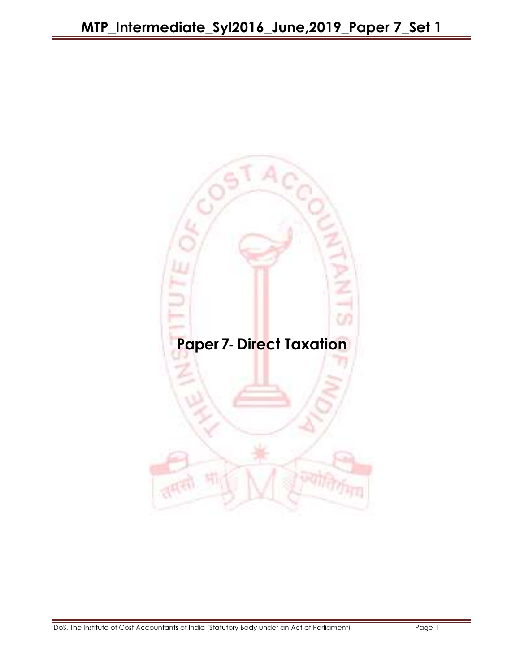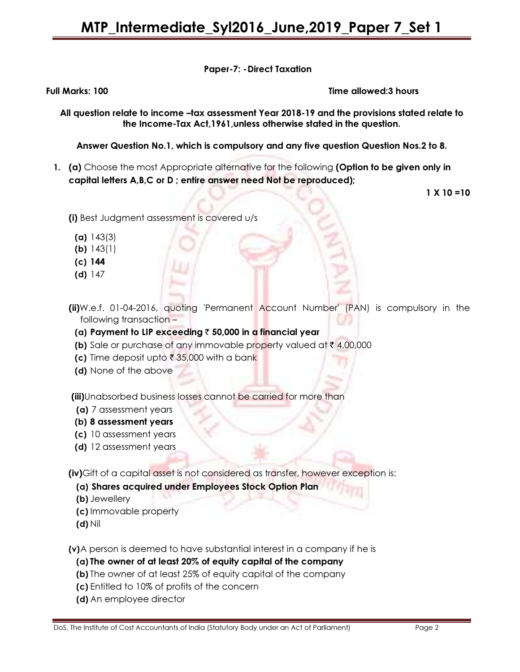#### Paper-7: - Direct Taxation

Full Marks: 100 Time allowed:3 hours

All question relate to income -tax assessment Year 2018-19 and the provisions stated relate to the Income-Tax Act,1961,unless otherwise stated in the question.

Answer Question No.1, which is compulsory and any five question Question Nos.2 to 8.

1. (a) Choose the most Appropriate alternative for the following (Option to be given only in capital letters A,B,C or D ; entire answer need Not be reproduced);

 $1 X 10 = 10$ 

(i) Best Judgment assessment is covered u/s

- (a) 143(3)
- (b) 143(1)
- (c) 144
- (d) 147

(ii)W.e.f. 01-04-2016, quoting 'Permanent Account Number' (PAN) is compulsory in the following transaction –

#### (a) Payment to LIP exceeding  $\bar{\tau}$  50,000 in a financial year

- (b) Sale or purchase of any immovable property valued at  $\bar{\tau}$  4,00,000
- (c) Time deposit upto  $\bar{\tau}$  35,000 with a bank
- (d) None of the above

(iii)Unabsorbed business losses cannot be carried for more than

- (a) 7 assessment years
- (b) 8 assessment years
- (c) 10 assessment years
- (d) 12 assessment years

(iv)Gift of a capital asset is not considered as transfer, however exception is:

- (a) Shares acquired under Employees Stock Option Plan
- (b) Jewellery
- (c) Immovable property
- (d) Nil

(v)A person is deemed to have substantial interest in a company if he is

#### (a) The owner of at least 20% of equity capital of the company

- (b) The owner of at least 25% of equity capital of the company
- (c) Entitled to 10% of profits of the concern
- (d) An employee director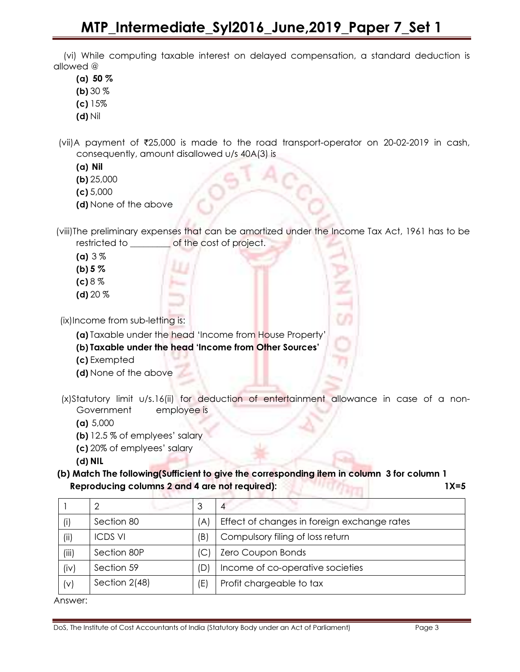(vi) While computing taxable interest on delayed compensation, a standard deduction is allowed @

- (a) 50 %
- (b) 30 %
- (c) 15%
- (d) Nil

(vii)A payment of  $Z5,000$  is made to the road transport-operator on 20-02-2019 in cash, consequently, amount disallowed u/s 40A(3) is

- (a) Nil
- (b) 25,000
- $(c)$  5,000
- (d) None of the above

 (viii)The preliminary expenses that can be amortized under the Income Tax Act, 1961 has to be restricted to \_\_\_\_\_\_\_\_\_ of the cost of project.

- (a) 3 %
- (b) 5 %
- (c)  $8\%$
- $(d)$  20  $%$
- (ix)Income from sub-letting is:
	- (a) Taxable under the head 'Income from House Property'
	- (b) Taxable under the head 'Income from Other Sources'
	- (c) Exempted
	- (d) None of the above

(x)Statutory limit u/s.16(ii) for deduction of entertainment allowance in case of a non-Government employee is

- (a) 5,000
- (b) 12.5 % of emplyees' salary
- (c) 20% of emplyees' salary
- (d) NIL

(b) Match The following(Sufficient to give the corresponding item in column 3 for column 1 Reproducing columns 2 and 4 are not required): 1X=5

|          |                | 3   |                                             |
|----------|----------------|-----|---------------------------------------------|
| (i)      | Section 80     | 'A) | Effect of changes in foreign exchange rates |
| (ii)     | <b>ICDS VI</b> | (B) | Compulsory filing of loss return            |
| (iii)    | Section 80P    |     | Zero Coupon Bonds                           |
| (iv)     | Section 59     | (D) | Income of co-operative societies            |
| $(\vee)$ | Section 2(48)  | (E) | Profit chargeable to tax                    |

Answer: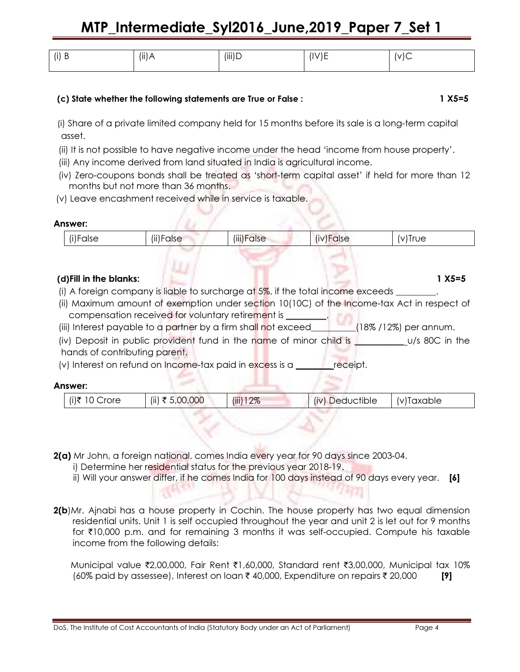| $\cdots$<br>Ш | $\cdots$<br>(II) | $\cdots$<br>(III<br>, | . .<br>$\mathbf{v}$<br> | $\sim$ |
|---------------|------------------|-----------------------|-------------------------|--------|
|               |                  |                       |                         |        |

#### (c) State whether the following statements are True or False : 1 X5=5

(i) Share of a private limited company held for 15 months before its sale is a long-term capital asset.

(ii) It is not possible to have negative income under the head 'income from house property'.

- (iii) Any income derived from land situated in India is agricultural income.
- (iv) Zero-coupons bonds shall be treated as 'short-term capital asset' if held for more than 12 months but not more than 36 months.
- (v) Leave encashment received while in service is taxable.

#### Answer:

| $\cdots$<br>(I)F<br>$\sim$ $\sim$<br>aise | $\cdots$<br>(II) I<br>⊦alse | $\cdots$<br>alse<br>[III) I | $\cdots$<br>alse<br> | ≀≀r∪e |  |
|-------------------------------------------|-----------------------------|-----------------------------|----------------------|-------|--|
|-------------------------------------------|-----------------------------|-----------------------------|----------------------|-------|--|

#### (d)Fill in the blanks: 1 X5=5

- (i) A foreign company is liable to surcharge at 5%, if the total income exceeds  $\_$
- (ii) Maximum amount of exemption under section 10(10C) of the Income-tax Act in respect of compensation received for voluntary retirement is
- (iii) Interest payable to a partner by a firm shall not exceed (18% /12%) per annum.
- (iv) Deposit in public provident fund in the name of minor child is \_\_\_\_\_\_\_\_\_\_\_ u/s 80C in the hands of contributing parent.
- (v) Interest on refund on Income-tax paid in excess is a \_\_\_\_\_\_\_\_ receipt.

#### Answer:

| (i)₹ 10 Crore | (ii) ₹ 5,00,000<br>(iii) 12% | (iv) Deductible | (v)Taxable |
|---------------|------------------------------|-----------------|------------|
|---------------|------------------------------|-----------------|------------|

- 2(a) Mr John, a foreign national, comes India every year for 90 days since 2003-04.
	- i) Determine her residential status for the previous year 2018-19.
	- ii) Will your answer differ, if he comes India for 100 days instead of 90 days every year.  $[6]$
- 2(b)Mr. Ajnabi has a house property in Cochin. The house property has two equal dimension residential units. Unit 1 is self occupied throughout the year and unit 2 is let out for 9 months for  $\overline{\epsilon}$ 10,000 p.m. and for remaining 3 months it was self-occupied. Compute his taxable income from the following details:

Municipal value ₹2,00,000, Fair Rent ₹1,60,000, Standard rent ₹3,00,000, Municipal tax 10%  $(60\%$  paid by assessee), Interest on loan  $\bar{\zeta}$  40,000, Expenditure on repairs  $\bar{\zeta}$  20,000 [9]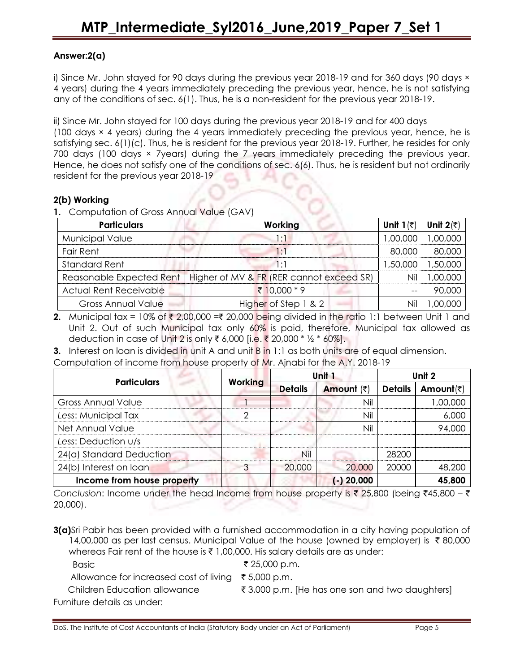## Answer:2(a)

i) Since Mr. John stayed for 90 days during the previous year 2018-19 and for 360 days (90 days  $\times$ 4 years) during the 4 years immediately preceding the previous year, hence, he is not satisfying any of the conditions of sec. 6(1). Thus, he is a non-resident for the previous year 2018-19.

ii) Since Mr. John stayed for 100 days during the previous year 2018-19 and for 400 days (100 days × 4 years) during the 4 years immediately preceding the previous year, hence, he is satisfying sec. 6(1)(c). Thus, he is resident for the previous year 2018-19. Further, he resides for only 700 days (100 days × 7years) during the 7 years immediately preceding the previous year. Hence, he does not satisfy one of the conditions of sec. 6(6). Thus, he is resident but not ordinarily resident for the previous year 2018-19

#### 2(b) Working

1. Computation of Gross Annual Value (GAV)

| <b>Particulars</b>                            | Working                                                             | Unit 1(₹) | Unit $2(\bar{z})$ |
|-----------------------------------------------|---------------------------------------------------------------------|-----------|-------------------|
| <b>Municipal Value</b>                        | $\cdot$                                                             | 1,00,000  | 1,00,000          |
| <b>Fair Rent</b>                              | $\cdot$ 1                                                           | 80,000    | 80,000            |
| <b>Standard Rent</b>                          |                                                                     | 1,50,000  | 1,50,000          |
|                                               | Reasonable Expected Rent   Higher of MV & FR (RER cannot exceed SR) | Nil       | 1,00,000          |
| ₹ 10,000 * 9<br><b>Actual Rent Receivable</b> |                                                                     |           | 90,000            |
| <b>Gross Annual Value</b>                     | Higher of Step 1 & 2                                                |           |                   |

2. Municipal tax = 10% of ₹ 2,00,000 =₹ 20,000 being divided in the ratio 1:1 between Unit 1 and Unit 2. Out of such Municipal tax only 60% is paid, therefore, Municipal tax allowed as deduction in case of Unit 2 is only ₹ 6,000 [i.e. ₹ 20,000 \* 1/2 \* 60%].

3. Interest on loan is divided in unit A and unit B in 1:1 as both units are of equal dimension.

Computation of income from house property of Mr. Ajnabi for the A.Y. 2018-19

| <b>Particulars</b>         | Working | Unit <sub>1</sub> |              | Unit 2         |                     |
|----------------------------|---------|-------------------|--------------|----------------|---------------------|
|                            |         | <b>Details</b>    | Amount (₹)   | <b>Details</b> | Amount( $\bar{z}$ ) |
| <b>Gross Annual Value</b>  |         |                   | Nil          |                | 00,000,             |
| Less: Municipal Tax        |         |                   | Nil          |                | 6,000               |
| Net Annual Value           |         |                   | Nil          |                | 94,000              |
| Less: Deduction u/s        |         |                   |              |                |                     |
| 24(a) Standard Deduction   |         | Nil               |              | 28200          |                     |
| 24(b) Interest on loan     | 3       | 20,000            | 20,000       | 20000          | 48,200              |
| Income from house property |         |                   | $(-)$ 20,000 |                | 45,800              |

Conclusion: Income under the head Income from house property is  $\bar{\tau}$  25,800 (being  $\bar{\tau}$ 45,800 –  $\bar{\tau}$ 20,000).

3(a)Sri Pabir has been provided with a furnished accommodation in a city having population of 14,00,000 as per last census. Municipal Value of the house (owned by employer) is  $\bar{\tau}$  80,000 whereas Fair rent of the house is  $\bar{\tau}$  1,00,000. His salary details are as under:

Basic  $\bar{z}$  25,000 p.m.

Allowance for increased cost of living  $\bar{\tau}$  5,000 p.m.

Furniture details as under:

Children Education allowance  $\bar{\tau}$  3,000 p.m. [He has one son and two daughters]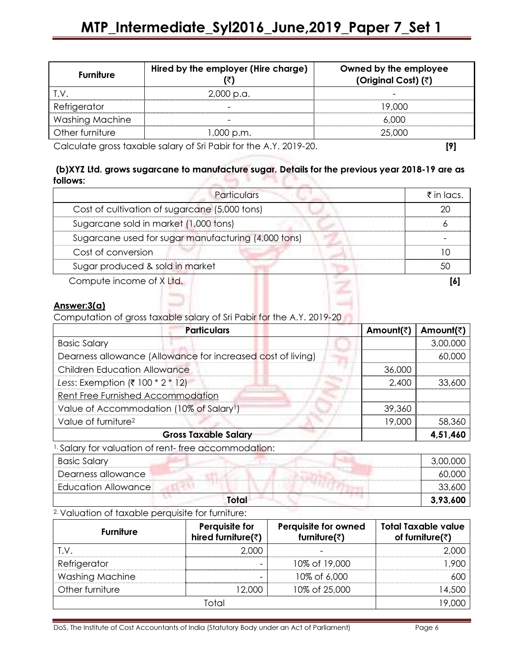| <b>Furniture</b>       | Hired by the employer (Hire charge)                              | Owned by the employee<br>(Original Cost) (₹) |
|------------------------|------------------------------------------------------------------|----------------------------------------------|
| T.V                    | 2,000 p.a.                                                       |                                              |
| Refrigerator           |                                                                  | 19.000                                       |
| <b>Washing Machine</b> |                                                                  | 6.000                                        |
| Other furniture        | 1,000 p.m.                                                       | 25,000                                       |
|                        | Calculate grees tovable salary of Sri Babir for the A.Y. 2010.20 | ro 1                                         |

Calculate gross taxable salary of Sri Pabir for the A.Y. 2019-20. [9]

#### (b)XYZ Ltd. grows sugarcane to manufacture sugar. Details for the previous year 2018-19 are as follows:

| Particulars                                         | $\bar{\tau}$ in lacs. |
|-----------------------------------------------------|-----------------------|
| Cost of cultivation of sugarcane (5,000 tons)       |                       |
| Sugarcane sold in market (1,000 tons)               |                       |
| Sugarcane used for sugar manufacturing (4,000 tons) |                       |
| Cost of conversion                                  |                       |
| Sugar produced & sold in market                     |                       |
| Compute income of X Ltd.                            |                       |

## Answer:3(a)

Computation of gross taxable salary of Sri Pabir for the A.Y. 2019-20

| <b>Particulars</b>                                          | Amount(₹) | Amount(₹) |
|-------------------------------------------------------------|-----------|-----------|
| <b>Basic Salary</b>                                         |           | 3,00,000  |
| Dearness allowance (Allowance for increased cost of living) |           | നറ        |
| <b>Children Education Allowance</b>                         | 36,000    |           |
| Less: Exemption (₹ 100 * 2 * 12)                            | 2,400     | 33.600    |
| Rent Free Furnished Accommodation                           |           |           |
| Value of Accommodation (10% of Salary <sup>1</sup> )        | 39,360    |           |
| Value of furniture <sup>2</sup>                             | 19,000    | 58,360    |
| <b>Gross Taxable Salary</b>                                 |           | 4,51,460  |

<sup>1.</sup> Salary for valuation of rent- free accommodation:

| <b>Basic Salary</b>        |       |  | 3.00.000 |
|----------------------------|-------|--|----------|
| Dearness allowance         |       |  |          |
| <b>Education Allowance</b> |       |  | 33. KOL  |
|                            | Total |  | 3.93.600 |

#### 2. Valuation of taxable perquisite for furniture:

| <b>Furniture</b>       | Perquisite for<br>hired furniture(₹) | Perquisite for owned<br>furniture(₹) | <b>Total Taxable value</b><br>of furniture(₹) |
|------------------------|--------------------------------------|--------------------------------------|-----------------------------------------------|
|                        | 2,000                                |                                      | 2.000                                         |
| Refrigerator           |                                      | 10% of 19,000                        | .900                                          |
| <b>Washing Machine</b> |                                      | 10% of 6,000                         |                                               |
| Other furniture        | 2,000                                | 10% of 25,000                        | 4,500                                         |
| ∩t∩l                   |                                      |                                      | 19 NNN                                        |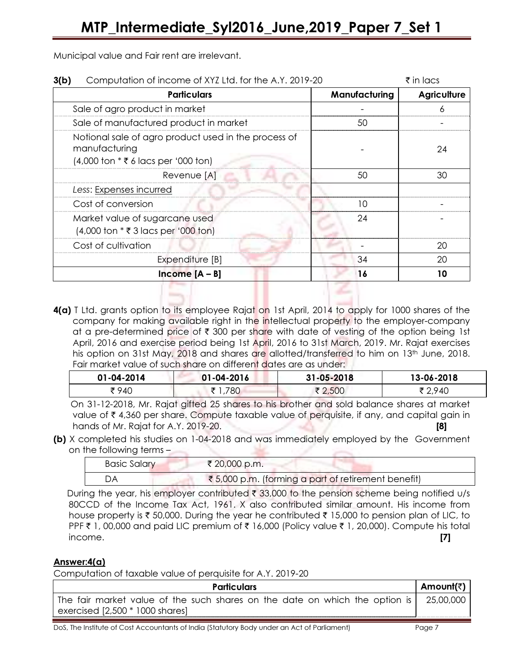Municipal value and Fair rent are irrelevant.

| Computation of income of XYZ Ltd. for the A.Y. 2019-20<br>3(b)                                               |               | $\bar{\tau}$ in lacs |  |
|--------------------------------------------------------------------------------------------------------------|---------------|----------------------|--|
| <b>Particulars</b>                                                                                           | Manufacturing | <b>Agriculture</b>   |  |
| Sale of agro product in market                                                                               |               | Α                    |  |
| Sale of manufactured product in market                                                                       | 50            |                      |  |
| Notional sale of agro product used in the process of<br>manufacturing<br>(4,000 ton * ₹ 6 lacs per '000 ton) |               | 24                   |  |
| Revenue [A]                                                                                                  | 50            | 30                   |  |
| Less: Expenses incurred                                                                                      |               |                      |  |
| Cost of conversion                                                                                           | 10            |                      |  |
| Market value of sugarcane used<br>$(4,000$ ton $*$ ₹ 3 lacs per '000 ton)                                    | 24            |                      |  |
| Cost of cultivation                                                                                          |               | 20                   |  |
| Expenditure [B]                                                                                              | 34            | 20                   |  |
| $Income[A - B]$                                                                                              | 16            | 10                   |  |

4(a) T Ltd. grants option to its employee Rajat on 1st April, 2014 to apply for 1000 shares of the company for making available right in the intellectual property to the employer-company at a pre-determined price of ₹ 300 per share with date of vesting of the option being 1st April, 2016 and exercise period being 1st April, 2016 to 31st March, 2019. Mr. Rajat exercises his option on 31st May, 2018 and shares are allotted/transferred to him on 13<sup>th</sup> June, 2018. Fair market value of such share on different dates are as under:

| 01-04-2014 | $01 - 04 - 2016$ | 31-05-2018 | 13-06-2018 |
|------------|------------------|------------|------------|
| ₹940       | ,780             | ₹ 2,500    | ₹2,940     |

 On 31-12-2018, Mr. Rajat gifted 25 shares to his brother and sold balance shares at market value of ₹4,360 per share. Compute taxable value of perquisite, if any, and capital gain in hands of Mr. Rajat for A.Y. 2019-20. **[8] For A.Y. 2019-20. [8] For A.Y. 2019-20. EXECUTE:** 

(b) X completed his studies on 1-04-2018 and was immediately employed by the Government on the following terms –

| <b>Basic Salary</b> | ₹ 20,000 p.m.                                       |  |
|---------------------|-----------------------------------------------------|--|
|                     | ₹ 5,000 p.m. (forming a part of retirement benefit) |  |

During the year, his employer contributed  $\bar{\tau}$  33,000 to the pension scheme being notified u/s 80CCD of the Income Tax Act, 1961. X also contributed similar amount. His income from house property is  $\bar{\tau}$  50,000. During the year he contributed  $\bar{\tau}$  15,000 to pension plan of LIC, to PPF ₹ 1, 00,000 and paid LIC premium of ₹ 16,000 (Policy value ₹ 1, 20,000). Compute his total income.  $\left[7\right]$ 

## Answer:4(a)

Computation of taxable value of perquisite for A.Y. 2019-20

| Amount(₹)  <br><b>Particulars</b>                                                             |  |  |
|-----------------------------------------------------------------------------------------------|--|--|
| The fair market value of the such shares on the date on which the option is $ $ 25,00,000 $ $ |  |  |
| exercised [2,500 * 1000 shares]                                                               |  |  |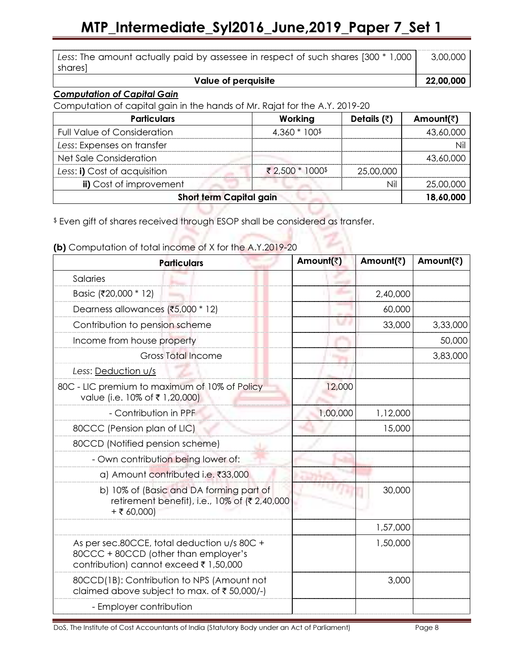| Less: The amount actually paid by assessee in respect of such shares [300 * 1,000<br>shares] | 3,00,000  |
|----------------------------------------------------------------------------------------------|-----------|
| Value of perquisite                                                                          | 22,00,000 |

### Computation of Capital Gain

Computation of capital gain in the hands of Mr. Rajat for the A.Y. 2019-20

| <b>Particulars</b>                 | Working          | Details $(3)$ | Amount(₹) |
|------------------------------------|------------------|---------------|-----------|
| <b>Full Value of Consideration</b> | 4,360 * 100\$    |               | 43,60,000 |
| Less: Expenses on transfer         |                  |               | NI        |
| Net Sale Consideration             |                  |               | 43,60,000 |
| Less: i) Cost of acquisition       | ₹ 2,500 * 1000\$ | 25,00,000     |           |
| ii) Cost of improvement            |                  | Nil           | 25,00,000 |
| Short term Capital gain            |                  |               | 18,60,000 |
|                                    |                  |               |           |

 $\mathbb{Z} \setminus$ 

\$ Even gift of shares received through ESOP shall be considered as transfer.

| <b>Particulars</b>                                                                                                            | Amount(₹) | Amount(₹) | Amount(₹) |
|-------------------------------------------------------------------------------------------------------------------------------|-----------|-----------|-----------|
| Salaries                                                                                                                      |           |           |           |
| Basic (₹20,000 * 12)                                                                                                          |           | 2,40,000  |           |
| Dearness allowances (₹5,000 * 12)                                                                                             |           | 60,000    |           |
| Contribution to pension scheme                                                                                                |           | 33,000    | 3,33,000  |
| Income from house property                                                                                                    |           |           | 50,000    |
| <b>Gross Total Income</b>                                                                                                     |           |           | 3,83,000  |
| Less: Deduction u/s                                                                                                           |           |           |           |
| 80C - LIC premium to maximum of 10% of Policy<br>value (i.e. 10% of ₹1,20,000)                                                | 12,000    |           |           |
| - Contribution in PPF                                                                                                         | 1,00,000  | 1,12,000  |           |
| 80CCC (Pension plan of LIC)                                                                                                   |           | 15,000    |           |
| 80CCD (Notified pension scheme)                                                                                               |           |           |           |
| - Own contribution being lower of:                                                                                            |           |           |           |
| a) Amount contributed i.e. ₹33,000                                                                                            |           |           |           |
| b) 10% of (Basic and DA forming part of<br>retirement benefit), i.e., 10% of (₹ 2,40,000<br>$+ 760,000$                       |           | 30,000    |           |
|                                                                                                                               |           | 1,57,000  |           |
| As per sec.80CCE, total deduction u/s 80C +<br>80CCC + 80CCD (other than employer's<br>contribution) cannot exceed ₹ 1,50,000 |           | 1,50,000  |           |
| 80CCD(1B): Contribution to NPS (Amount not<br>claimed above subject to max. of ₹ 50,000/-)                                    |           | 3,000     |           |
| - Employer contribution                                                                                                       |           |           |           |

# (b) Computation of total income of X for the A.Y.2019-20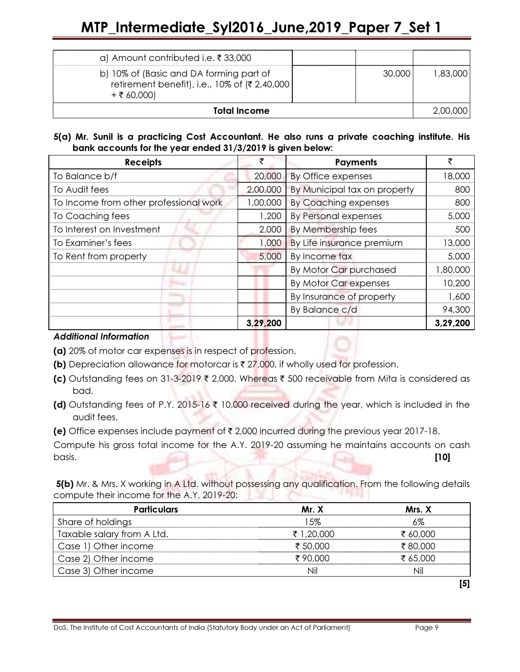| Total Income                                                                                             |        | -2.00.000 |
|----------------------------------------------------------------------------------------------------------|--------|-----------|
| b) 10% of (Basic and DA forming part of<br>retirement benefit), i.e., 10% of (₹ 2,40,000)<br>+ ₹ 60,000) | 30,000 | .83.000   |
| a) Amount contributed i.e. ₹33,000                                                                       |        |           |

#### 5(a) Mr. Sunil is a practicing Cost Accountant. He also runs a private coaching institute. His bank accounts for the year ended 31/3/2019 is given below:

| <b>Receipts</b>                        |          | <b>Payments</b>              |          |
|----------------------------------------|----------|------------------------------|----------|
| To Balance b/f                         |          | 20,000 By Office expenses    | 18,000   |
| To Audit fees                          | 2,00,000 | By Municipal tax on property | 800      |
| To Income from other professional work | 1,00,000 | <b>By Coaching expenses</b>  | 800      |
| To Coaching fees                       | 1,200    | <b>By Personal expenses</b>  | 5,000    |
| To Interest on Investment              | 2,000    | By Membership fees           | 500      |
| To Examiner's fees                     | 1,000    | By Life insurance premium    | 13,000   |
| To Rent from property                  | 5,000    | By Income tax                | 5,000    |
|                                        |          | By Motor Car purchased       | 1,80,000 |
|                                        |          | By Motor Car expenses        | 10,200   |
|                                        |          | By Insurance of property     | 1,600    |
|                                        |          | By Balance c/d               | 94,300   |
|                                        | 3,29,200 |                              | 3.29.200 |

#### Additional Information

(a) 20% of motor car expenses is in respect of profession.

- (b) Depreciation allowance for motorcar is  $\bar{\tau}$  27,000, if wholly used for profession.
- (c) Outstanding fees on 31-3-2019 ₹ 2,000. Whereas ₹ 500 receivable from Mita is considered as bad.
- (d) Outstanding fees of P.Y. 2015-16  $\bar{\tau}$  10,000 received during the year, which is included in the audit fees.
- (e) Office expenses include payment of  $\bar{\tau}$  2,000 incurred during the previous year 2017-18.

Compute his gross total income for the A.Y. 2019-20 assuming he maintains accounts on cash basis. [10] **participates [10]** 

 5(b) Mr. & Mrs. X working in A Ltd. without possessing any qualification. From the following details compute their income for the A.Y. 2019-20:

| <b>Particulars</b>         | Mr. X      | Mrs. X   |
|----------------------------|------------|----------|
| Share of holdings          | 1.5%       |          |
| Taxable salary from A Ltd. | ₹ 1,20,000 | ₹ 60.000 |
| Case 1) Other income       | ₹ 50.000   | ₹80,000  |
| Case 2) Other income       | ₹90.000    | ₹ 65,000 |
| Case 3) Other income       | Nil        |          |
|                            |            |          |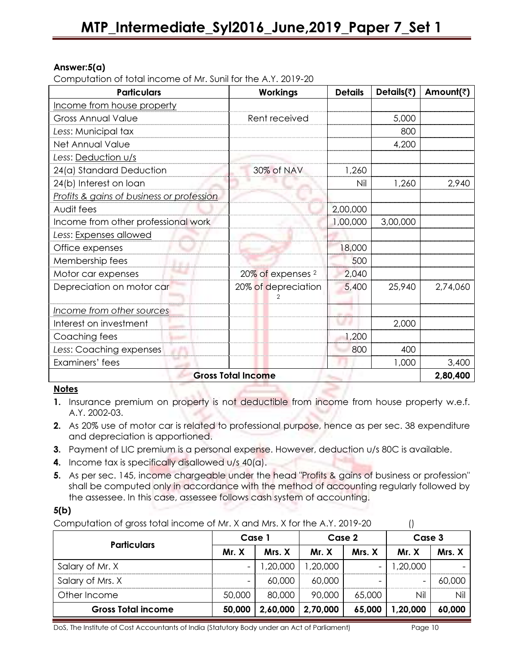#### Answer:5(a)

Computation of total income of Mr. Sunil for the A.Y. 2019-20

| <b>Particulars</b>                        | <b>Workings</b>              | <b>Details</b> | Details( $\bar{z}$ ) | Amount(₹) |
|-------------------------------------------|------------------------------|----------------|----------------------|-----------|
| Income from house property                |                              |                |                      |           |
| <b>Gross Annual Value</b>                 | Rent received                |                | 5,000                |           |
| Less: Municipal tax                       |                              |                | 800                  |           |
| Net Annual Value                          |                              |                | 4,200                |           |
| Less: Deduction u/s                       |                              |                |                      |           |
| 24(a) Standard Deduction                  | 30% of NAV                   | 1,260          |                      |           |
| 24(b) Interest on loan                    |                              | Nil            | 1,260                | 2,940     |
| Profits & gains of business or profession |                              |                |                      |           |
| Audit fees                                |                              | 2,00,000       |                      |           |
| Income from other professional work       |                              | 1,00,000       | 3,00,000             |           |
| Less: Expenses allowed                    |                              |                |                      |           |
| Office expenses                           |                              | 18,000         |                      |           |
| Membership fees                           |                              | 500            |                      |           |
| Motor car expenses                        | 20% of expenses <sup>2</sup> | 2,040          |                      |           |
| Depreciation on motor car                 | 20% of depreciation          | 5,400          | 25,940               | 2,74,060  |
| Income from other sources                 |                              |                |                      |           |
| Interest on investment                    |                              |                | 2,000                |           |
| Coaching fees                             |                              | 1,200          |                      |           |
| Less: Coaching expenses                   |                              | 800            | 400                  |           |
| u.<br>Examiners' fees                     |                              |                | 1,000                | 3,400     |
|                                           | <b>Gross Total Income</b>    |                |                      | 2,80,400  |

#### **Notes**

- 1. Insurance premium on property is not deductible from income from house property w.e.f. A.Y. 2002-03.
- 2. As 20% use of motor car is related to professional purpose, hence as per sec. 38 expenditure and depreciation is apportioned.
- **3.** Payment of LIC premium is a personal expense. However, deduction u/s 80C is available.
- 4. Income tax is specifically disallowed u/s 40(a).
- 5. As per sec. 145, income chargeable under the head "Profits & gains of business or profession" shall be computed only in accordance with the method of accounting regularly followed by the assessee. In this case, assessee follows cash system of accounting.

#### 5(b)

Computation of gross total income of Mr. X and Mrs. X for the A.Y. 2019-20 ()

| <b>Particulars</b>        | Case 1 |          | Case 2   |        | Case 3   |        |
|---------------------------|--------|----------|----------|--------|----------|--------|
|                           | Mr. X  | Mrs. X   | Mr. X    | Mrs. X | Mr. X    | Mrs. X |
| Salary of Mr. X           |        | ,20,000  | ,20,000  | -      | ,20,000  |        |
| Salary of Mrs. X          |        | 60,000   | 60,000   |        | -        | 60,000 |
| Other Income              | 50,000 | 80,000   | 90,000   | 65,000 | Nil      | Nil    |
| <b>Gross Total income</b> | 50,000 | 2,60,000 | 2,70,000 | 65,000 | 1,20,000 | 60,000 |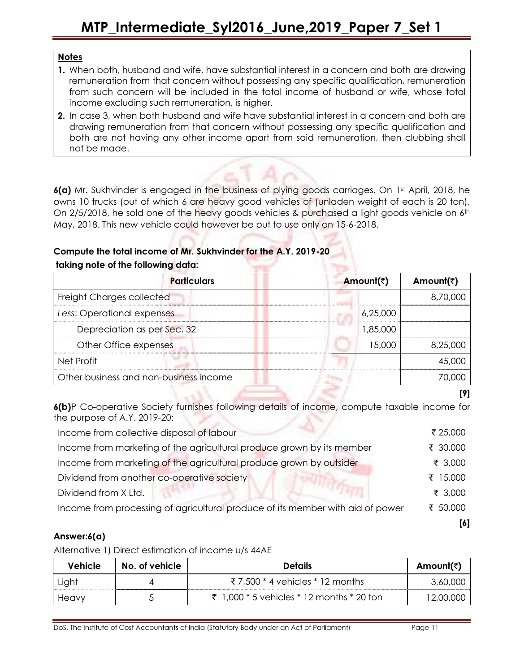#### **Notes**

- 1. When both, husband and wife, have substantial interest in a concern and both are drawing remuneration from that concern without possessing any specific qualification, remuneration from such concern will be included in the total income of husband or wife, whose total income excluding such remuneration, is higher.
- 2. In case 3, when both husband and wife have substantial interest in a concern and both are drawing remuneration from that concern without possessing any specific qualification and both are not having any other income apart from said remuneration, then clubbing shall not be made.

6(a) Mr. Sukhvinder is engaged in the business of plying goods carriages. On 1st April, 2018, he owns 10 trucks (out of which 6 are heavy good vehicles of (unladen weight of each is 20 ton). On 2/5/2018, he sold one of the heavy goods vehicles & purchased a light goods vehicle on 6<sup>th</sup> May, 2018. This new vehicle could however be put to use only on 15-6-2018.

## Compute the total income of Mr. Sukhvinder for the A.Y. 2019-20 taking note of the following data:

| <b>Particulars</b>                     | Amount(₹) | Amount(₹) |
|----------------------------------------|-----------|-----------|
| Freight Charges collected              |           | 8,70,000  |
| Less: Operational expenses             | 6,25,000  |           |
| Depreciation as per Sec. 32            | 1,85,000  |           |
| Other Office expenses                  | 15.000    | 8,25,000  |
| Net Profit                             |           | 45.000    |
| Other business and non-business income |           |           |

6(b)P Co-operative Society furnishes following details of income, compute taxable income for the purpose of A.Y. 2019-20:

| Income from processing of agricultural produce of its member with aid of power | ₹ 50,000 |
|--------------------------------------------------------------------------------|----------|
| Dividend from X Ltd.                                                           | ₹ 3,000  |
| Dividend from another co-operative society                                     | ₹ 15,000 |
| Income from marketing of the agricultural produce grown by outsider            | ₹ 3,000  |
| Income from marketing of the agricultural produce grown by its member          | ₹ 30,000 |
| Income from collective disposal of labour                                      | ₹ 25,000 |

## Answer:6(a)

Alternative 1) Direct estimation of income u/s 44AE

| Vehicle | No. of vehicle | <b>Details</b>                                  | Amount(₹) |
|---------|----------------|-------------------------------------------------|-----------|
| Light   |                | ₹7.500 $*$ 4 vehicles $*$ 12 months             | 3.60.000  |
| Heavy   |                | ₹ 1.000 $*$ 5 vehicles $*$ 12 months $*$ 20 ton | 12,00,000 |

DoS, The Institute of Cost Accountants of India (Statutory Body under an Act of Parliament) Page 11

[9]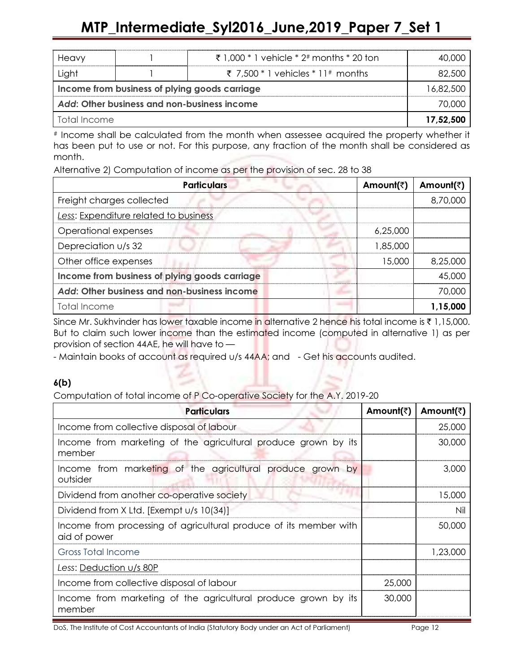| Heavy                                         | ₹ 1,000 $*$ 1 vehicle $*$ 2# months $*$ 20 ton |                                       |           |
|-----------------------------------------------|------------------------------------------------|---------------------------------------|-----------|
| Light                                         |                                                | ₹ 7,500 $*$ 1 vehicles $*$ 11# months | 82,500    |
| Income from business of plying goods carriage |                                                | 16.82.500                             |           |
| Add: Other business and non-business income   |                                                | 70.000                                |           |
| Total Income                                  |                                                |                                       | 17,52,500 |

# Income shall be calculated from the month when assessee acquired the property whether it has been put to use or not. For this purpose, any fraction of the month shall be considered as month.

Alternative 2) Computation of income as per the provision of sec. 28 to 38

| <b>Particulars</b>                            | Amount(₹) | Amount(₹) |
|-----------------------------------------------|-----------|-----------|
| Freight charges collected                     |           | 8,70,000  |
| Less: Expenditure related to business         |           |           |
| Operational expenses                          | 6,25,000  |           |
| Depreciation u/s 32                           | 1.85.000  |           |
| Other office expenses                         | 15,000    | 8.25.000  |
| Income from business of plying goods carriage |           | 45,000    |
| Add: Other business and non-business income   |           | 70,000    |
| Total Income                                  |           | 1,15,000  |

Since Mr. Sukhvinder has lower taxable income in alternative 2 hence his total income is ₹ 1,15,000. But to claim such lower income than the estimated income (computed in alternative 1) as per provision of section 44AE, he will have to —

- Maintain books of account as required u/s 44AA; and - Get his accounts audited.

## 6(b)

Computation of total income of P Co-operative Society for the A.Y. 2019-20

| <b>Particulars</b>                                                                | Amount(₹) | Amount(₹) |
|-----------------------------------------------------------------------------------|-----------|-----------|
| Income from collective disposal of labour                                         |           | 25,000    |
| Income from marketing of the agricultural produce grown by its<br>member          |           | 30,000    |
| Income from marketing of the agricultural produce grown by<br>outsider            |           | 3,000     |
| Dividend from another co-operative society                                        |           | 15,000    |
| Dividend from X Ltd. [Exempt u/s 10(34)]                                          |           | Nil       |
| Income from processing of agricultural produce of its member with<br>aid of power |           | 50.000    |
| <b>Gross Total Income</b>                                                         |           | 1.23.000  |
| Less: Deduction u/s 80P                                                           |           |           |
| Income from collective disposal of labour                                         | 25,000    |           |
| Income from marketing of the agricultural produce grown by its<br>member          | 30,000    |           |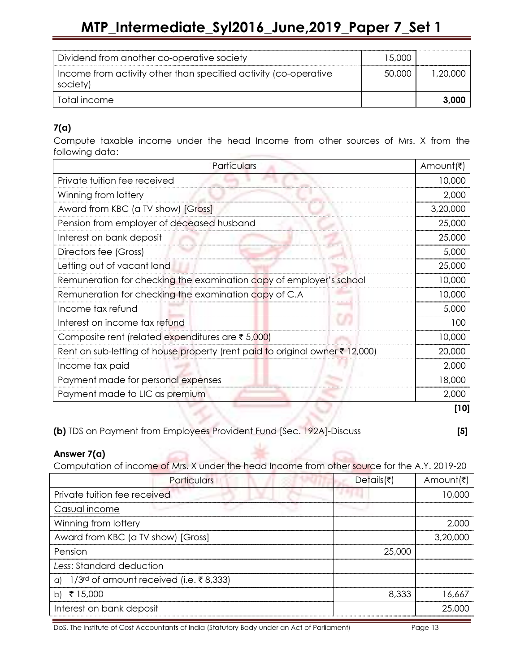| Dividend from another co-operative society                                     | 15,000 |          |
|--------------------------------------------------------------------------------|--------|----------|
| I Income from activity other than specified activity (co-operative<br>society) | 50.000 | L 20.000 |
| l Total income                                                                 |        |          |

# 7(a)

Compute taxable income under the head Income from other sources of Mrs. X from the following data:

| Particulars                                                                  | Amount(₹) |
|------------------------------------------------------------------------------|-----------|
| Private tuition fee received                                                 | 10,000    |
| Winning from lottery                                                         | 2,000     |
| Award from KBC (a TV show) [Gross]                                           | 3,20,000  |
| Pension from employer of deceased husband                                    | 25,000    |
| Interest on bank deposit                                                     | 25,000    |
| Directors fee (Gross)                                                        | 5,000     |
| Letting out of vacant land                                                   | 25,000    |
| Remuneration for checking the examination copy of employer's school          | 10,000    |
| Remuneration for checking the examination copy of C.A                        | 10,000    |
| Income tax refund                                                            | 5,000     |
| Interest on income tax refund                                                | 100       |
| Composite rent (related expenditures are $\bar{\tau}$ 5,000)                 | 10,000    |
| Rent on sub-letting of house property (rent paid to original owner ₹ 12,000) | 20,000    |
| Income tax paid                                                              | 2,000     |
| Payment made for personal expenses                                           | 18,000    |
| Payment made to LIC as premium                                               | 2,000     |

[10]

(b) TDS on Payment from Employees Provident Fund [Sec. 192A]-Discuss [5]

## Answer 7(a)

Computation of income of Mrs. X under the head Income from other source for the A.Y. 2019-20

| Particulars                                             | Details(₹) | Amount(₹) |
|---------------------------------------------------------|------------|-----------|
| Private tuition fee received                            |            | LO 000    |
| Casual income                                           |            |           |
| Winning from lottery                                    |            | 2 UUU     |
| Award from KBC (a TV show) [Gross]                      |            | 3.20.000  |
| Pension                                                 | 25.000     |           |
| Less: Standard deduction                                |            |           |
| a) $1/3$ <sup>rd</sup> of amount received (i.e. ₹8,333) |            |           |
| b) ₹ 15,000                                             | 8,333      | 16.667    |
| Interest on bank deposit                                |            | 25.000    |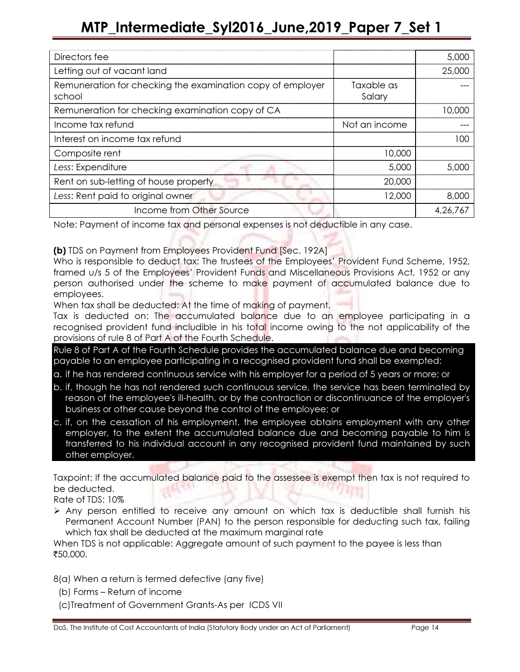| Directors fee                                                        |                      | 5,000    |
|----------------------------------------------------------------------|----------------------|----------|
| Letting out of vacant land                                           |                      | 25,000   |
| Remuneration for checking the examination copy of employer<br>school | Taxable as<br>Salary |          |
| Remuneration for checking examination copy of CA                     |                      | LO OOO   |
| Income tax refund                                                    | Not an income        |          |
| Interest on income tax refund                                        |                      | ח ו      |
| Composite rent                                                       | 10.000               |          |
| Less: Expenditure                                                    | 5,000                | 5.000    |
| Rent on sub-letting of house property                                | 20,000               |          |
| Less: Rent paid to original owner                                    | 12,000               | 8,000    |
| Income from Other Source                                             |                      | 4,26,767 |

Note: Payment of income tax and personal expenses is not deductible in any case.

(b) TDS on Payment from Employees Provident Fund [Sec. 192A]

Who is responsible to deduct tax: The trustees of the Employees' Provident Fund Scheme, 1952, framed u/s 5 of the Employees' Provident Funds and Miscellaneous Provisions Act, 1952 or any person authorised under the scheme to make payment of accumulated balance due to employees.

When tax shall be deducted: At the time of making of payment.

Tax is deducted on: The accumulated balance due to an employee participating in a recognised provident fund includible in his total income owing to the not applicability of the provisions of rule 8 of Part A of the Fourth Schedule.

Rule 8 of Part A of the Fourth Schedule provides the accumulated balance due and becoming payable to an employee participating in a recognised provident fund shall be exempted:

- a. if he has rendered continuous service with his employer for a period of 5 years or more; or
- b. if, though he has not rendered such continuous service, the service has been terminated by reason of the employee's ill-health, or by the contraction or discontinuance of the employer's business or other cause beyond the control of the employee; or
- c. if, on the cessation of his employment, the employee obtains employment with any other employer, to the extent the accumulated balance due and becoming payable to him is transferred to his individual account in any recognised provident fund maintained by such other employer.

Taxpoint: If the accumulated balance paid to the assessee is exempt then tax is not required to be deducted.

Rate of TDS: 10%

 $\triangleright$  Any person entitled to receive any amount on which tax is deductible shall furnish his Permanent Account Number (PAN) to the person responsible for deducting such tax, failing which tax shall be deducted at the maximum marginal rate

When TDS is not applicable: Aggregate amount of such payment to the payee is less than `50,000.

8(a) When a return is termed defective (any five)

- (b) Forms Return of income
- (c)Treatment of Government Grants-As per ICDS VII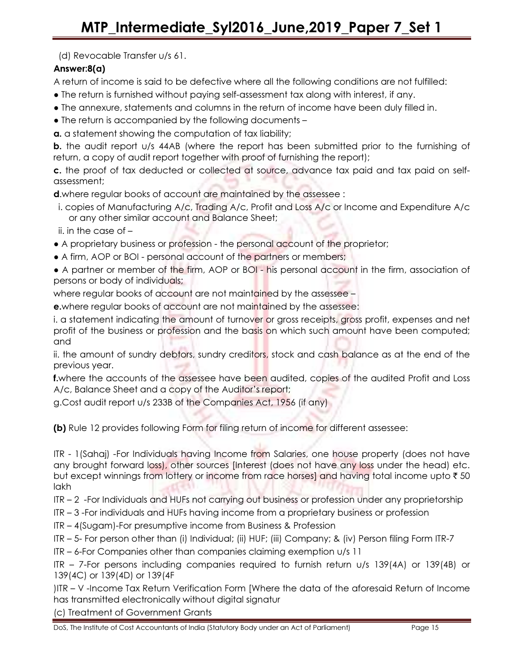(d) Revocable Transfer u/s 61.

## Answer:8(a)

A return of income is said to be defective where all the following conditions are not fulfilled:

● The return is furnished without paying self-assessment tax along with interest, if any.

- The annexure, statements and columns in the return of income have been duly filled in.
- The return is accompanied by the following documents –

**a.** a statement showing the computation of tax liability;

**b.** the audit report u/s 44AB (where the report has been submitted prior to the furnishing of return, a copy of audit report together with proof of furnishing the report);

c. the proof of tax deducted or collected at source, advance tax paid and tax paid on selfassessment;

**d**.where regular books of account are maintained by the assessee :

 i. copies of Manufacturing A/c, Trading A/c, Profit and Loss A/c or Income and Expenditure A/c or any other similar account and Balance Sheet;

ii. in the case of –

- A proprietary business or profession the personal account of the proprietor;
- A firm, AOP or BOI personal account of the partners or members;

• A partner or member of the firm, AOP or BOI - his personal account in the firm, association of persons or body of individuals;

where regular books of account are not maintained by the assessee –

e.where regular books of account are not maintained by the assessee:

i. a statement indicating the amount of turnover or gross receipts, gross profit, expenses and net profit of the business or profession and the basis on which such amount have been computed; and

ii. the amount of sundry debtors, sundry creditors, stock and cash balance as at the end of the previous year.

f.where the accounts of the assessee have been audited, copies of the audited Profit and Loss A/c, Balance Sheet and a copy of the Auditor's report;

g.Cost audit report u/s 233B of the Companies Act, 1956 (if any)

(b) Rule 12 provides following Form for filing return of income for different assessee:

ITR - 1(Sahaj) -For Individuals having Income from Salaries, one house property (does not have any brought forward loss), other sources [Interest (does not have any loss under the head) etc. but except winnings from lottery or income from race horses] and having total income upto ₹50 lakh

ITR – 2 -For Individuals and HUFs not carrying out business or profession under any proprietorship

ITR – 3 -For individuals and HUFs having income from a proprietary business or profession

ITR – 4(Sugam)-For presumptive income from Business & Profession

ITR – 5- For person other than (i) Individual; (ii) HUF; (iii) Company; & (iv) Person filing Form ITR-7

ITR – 6-For Companies other than companies claiming exemption u/s 11

ITR – 7-For persons including companies required to furnish return u/s 139(4A) or 139(4B) or 139(4C) or 139(4D) or 139(4F

)ITR – V -Income Tax Return Verification Form [Where the data of the aforesaid Return of Income has transmitted electronically without digital signatur

(c) Treatment of Government Grants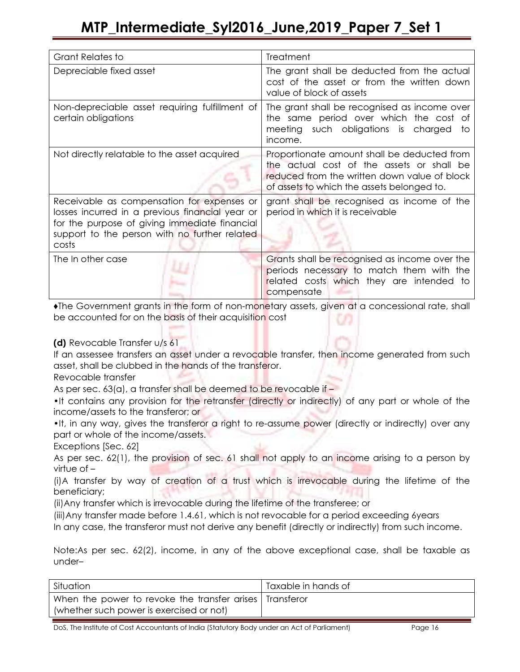| <b>Grant Relates to</b>                                                                                                                                                                                  | <b>Treatment</b>                                                                                                                                                                       |
|----------------------------------------------------------------------------------------------------------------------------------------------------------------------------------------------------------|----------------------------------------------------------------------------------------------------------------------------------------------------------------------------------------|
| Depreciable fixed asset                                                                                                                                                                                  | The grant shall be deducted from the actual<br>cost of the asset or from the written down<br>value of block of assets                                                                  |
| Non-depreciable asset requiring fulfillment of<br>certain obligations                                                                                                                                    | The grant shall be recognised as income over<br>the same period over which the cost of<br>meeting such obligations is charged<br>to<br>income.                                         |
| Not directly relatable to the asset acquired                                                                                                                                                             | Proportionate amount shall be deducted from<br>the actual cost of the assets or shall be<br>reduced from the written down value of block<br>of assets to which the assets belonged to. |
| Receivable as compensation for expenses or<br>losses incurred in a previous financial year or<br>for the purpose of giving immediate financial<br>support to the person with no further related<br>costs | grant shall be recognised as income of the<br>period in which it is receivable                                                                                                         |
| The In other case                                                                                                                                                                                        | Grants shall be recognised as income over the<br>periods necessary to match them with the<br>related costs which they are intended to<br>compensate                                    |

♦The Government grants in the form of non-monetary assets, given at a concessional rate, shall be accounted for on the basis of their acquisition cost

(d) Revocable Transfer u/s 61

If an assessee transfers an asset under a revocable transfer, then income generated from such asset, shall be clubbed in the hands of the transferor.

Revocable transfer

As per sec. 63(a), a transfer shall be deemed to be revocable if –

•It contains any provision for the retransfer (directly or indirectly) of any part or whole of the income/assets to the transferor; or

•It, in any way, gives the transferor a right to re-assume power (directly or indirectly) over any part or whole of the income/assets.

Exceptions [Sec. 62]

As per sec. 62(1), the provision of sec. 61 shall not apply to an income arising to a person by virtue of –

(i)A transfer by way of creation of a trust which is irrevocable during the lifetime of the beneficiary;

(ii)Any transfer which is irrevocable during the lifetime of the transferee; or

(iii)Any transfer made before 1.4.61, which is not revocable for a period exceeding 6years

In any case, the transferor must not derive any benefit (directly or indirectly) from such income.

Note:As per sec. 62(2), income, in any of the above exceptional case, shall be taxable as under–

| Taxable in hands of |
|---------------------|
|                     |
|                     |